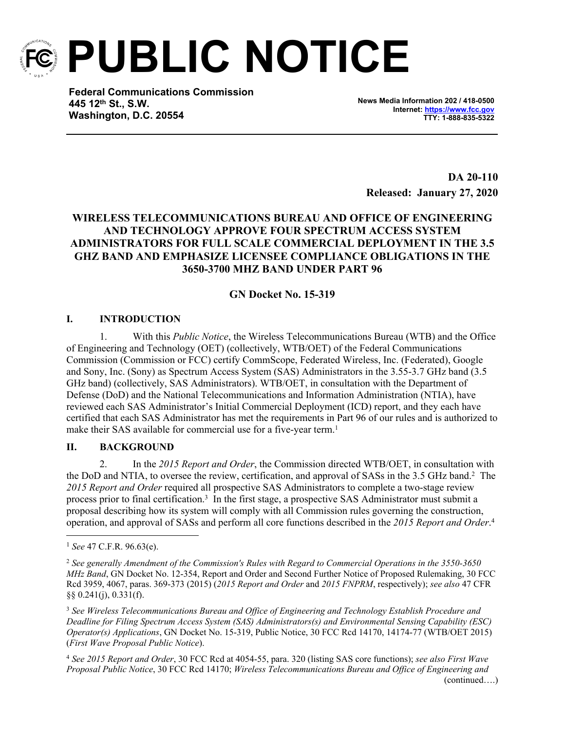

**PUBLIC NOTICE**

**Federal Communications Commission 445 12th St., S.W. Washington, D.C. 20554**

**News Media Information 202 / 418-0500 Internet:<https://www.fcc.gov> TTY: 1-888-835-5322**

**DA 20-110 Released: January 27, 2020**

## **WIRELESS TELECOMMUNICATIONS BUREAU AND OFFICE OF ENGINEERING AND TECHNOLOGY APPROVE FOUR SPECTRUM ACCESS SYSTEM ADMINISTRATORS FOR FULL SCALE COMMERCIAL DEPLOYMENT IN THE 3.5 GHZ BAND AND EMPHASIZE LICENSEE COMPLIANCE OBLIGATIONS IN THE 3650-3700 MHZ BAND UNDER PART 96**

# **GN Docket No. 15-319**

## **I. INTRODUCTION**

1. With this *Public Notice*, the Wireless Telecommunications Bureau (WTB) and the Office of Engineering and Technology (OET) (collectively, WTB/OET) of the Federal Communications Commission (Commission or FCC) certify CommScope, Federated Wireless, Inc. (Federated), Google and Sony, Inc. (Sony) as Spectrum Access System (SAS) Administrators in the 3.55-3.7 GHz band (3.5 GHz band) (collectively, SAS Administrators). WTB/OET, in consultation with the Department of Defense (DoD) and the National Telecommunications and Information Administration (NTIA), have reviewed each SAS Administrator's Initial Commercial Deployment (ICD) report, and they each have certified that each SAS Administrator has met the requirements in Part 96 of our rules and is authorized to make their SAS available for commercial use for a five-year term.<sup>1</sup>

## **II. BACKGROUND**

2. In the *2015 Report and Order*, the Commission directed WTB/OET, in consultation with the DoD and NTIA, to oversee the review, certification, and approval of SASs in the 3.5 GHz band.<sup>2</sup> The *2015 Report and Order* required all prospective SAS Administrators to complete a two-stage review process prior to final certification.<sup>3</sup> In the first stage, a prospective SAS Administrator must submit a proposal describing how its system will comply with all Commission rules governing the construction, operation, and approval of SASs and perform all core functions described in the *2015 Report and Order*. 4

<sup>4</sup> *See 2015 Report and Order*, 30 FCC Rcd at 4054-55, para. 320 (listing SAS core functions); *see also First Wave Proposal Public Notice*, 30 FCC Rcd 14170; *Wireless Telecommunications Bureau and Office of Engineering and*  (continued….)

<sup>1</sup> *See* 47 C.F.R. 96.63(e).

<sup>2</sup> *See generally Amendment of the Commission's Rules with Regard to Commercial Operations in the 3550-3650 MHz Band*, GN Docket No. 12-354, Report and Order and Second Further Notice of Proposed Rulemaking, 30 FCC Rcd 3959, 4067, paras. 369-373 (2015) (*2015 Report and Order* and *2015 FNPRM*, respectively); *see also* 47 CFR §§ 0.241(j), 0.331(f).

<sup>3</sup> *See Wireless Telecommunications Bureau and Office of Engineering and Technology Establish Procedure and Deadline for Filing Spectrum Access System (SAS) Administrators(s) and Environmental Sensing Capability (ESC) Operator(s) Applications*, GN Docket No. 15-319, Public Notice, 30 FCC Rcd 14170, 14174-77 (WTB/OET 2015) (*First Wave Proposal Public Notice*).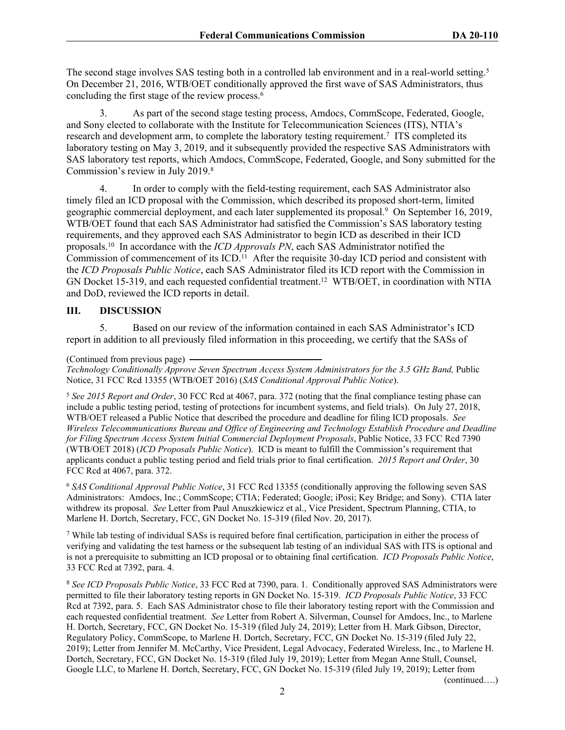The second stage involves SAS testing both in a controlled lab environment and in a real-world setting.<sup>5</sup> On December 21, 2016, WTB/OET conditionally approved the first wave of SAS Administrators, thus concluding the first stage of the review process.<sup>6</sup>

3. As part of the second stage testing process, Amdocs, CommScope, Federated, Google, and Sony elected to collaborate with the Institute for Telecommunication Sciences (ITS), NTIA's research and development arm, to complete the laboratory testing requirement.<sup>7</sup> ITS completed its laboratory testing on May 3, 2019, and it subsequently provided the respective SAS Administrators with SAS laboratory test reports, which Amdocs, CommScope, Federated, Google, and Sony submitted for the Commission's review in July 2019.<sup>8</sup>

4. In order to comply with the field-testing requirement, each SAS Administrator also timely filed an ICD proposal with the Commission, which described its proposed short-term, limited geographic commercial deployment, and each later supplemented its proposal.<sup>9</sup> On September 16, 2019, WTB/OET found that each SAS Administrator had satisfied the Commission's SAS laboratory testing requirements, and they approved each SAS Administrator to begin ICD as described in their ICD proposals.<sup>10</sup> In accordance with the *ICD Approvals PN*, each SAS Administrator notified the Commission of commencement of its ICD.<sup>11</sup> After the requisite 30-day ICD period and consistent with the *ICD Proposals Public Notice*, each SAS Administrator filed its ICD report with the Commission in GN Docket 15-319, and each requested confidential treatment.<sup>12</sup> WTB/OET, in coordination with NTIA and DoD, reviewed the ICD reports in detail.

#### **III. DISCUSSION**

5. Based on our review of the information contained in each SAS Administrator's ICD report in addition to all previously filed information in this proceeding, we certify that the SASs of

(Continued from previous page)

*Technology Conditionally Approve Seven Spectrum Access System Administrators for the 3.5 GHz Band,* Public Notice, 31 FCC Rcd 13355 (WTB/OET 2016) (*SAS Conditional Approval Public Notice*).

<sup>5</sup> *See 2015 Report and Order*, 30 FCC Rcd at 4067, para. 372 (noting that the final compliance testing phase can include a public testing period, testing of protections for incumbent systems, and field trials). On July 27, 2018, WTB/OET released a Public Notice that described the procedure and deadline for filing ICD proposals. *See Wireless Telecommunications Bureau and Office of Engineering and Technology Establish Procedure and Deadline for Filing Spectrum Access System Initial Commercial Deployment Proposals*, Public Notice, 33 FCC Rcd 7390 (WTB/OET 2018) (*ICD Proposals Public Notice*). ICD is meant to fulfill the Commission's requirement that applicants conduct a public testing period and field trials prior to final certification. *2015 Report and Order*, 30 FCC Rcd at 4067, para. 372.

<sup>6</sup> *SAS Conditional Approval Public Notice*, 31 FCC Rcd 13355 (conditionally approving the following seven SAS Administrators: Amdocs, Inc.; CommScope; CTIA; Federated; Google; iPosi; Key Bridge; and Sony). CTIA later withdrew its proposal. *See* Letter from Paul Anuszkiewicz et al., Vice President, Spectrum Planning, CTIA, to Marlene H. Dortch, Secretary, FCC, GN Docket No. 15-319 (filed Nov. 20, 2017).

<sup>7</sup> While lab testing of individual SASs is required before final certification, participation in either the process of verifying and validating the test harness or the subsequent lab testing of an individual SAS with ITS is optional and is not a prerequisite to submitting an ICD proposal or to obtaining final certification. *ICD Proposals Public Notice*, 33 FCC Rcd at 7392, para. 4.

<sup>8</sup> *See ICD Proposals Public Notice*, 33 FCC Rcd at 7390, para. 1. Conditionally approved SAS Administrators were permitted to file their laboratory testing reports in GN Docket No. 15-319. *ICD Proposals Public Notice*, 33 FCC Rcd at 7392, para. 5. Each SAS Administrator chose to file their laboratory testing report with the Commission and each requested confidential treatment. *See* Letter from Robert A. Silverman, Counsel for Amdocs, Inc., to Marlene H. Dortch, Secretary, FCC, GN Docket No. 15-319 (filed July 24, 2019); Letter from H. Mark Gibson, Director, Regulatory Policy, CommScope, to Marlene H. Dortch, Secretary, FCC, GN Docket No. 15-319 (filed July 22, 2019); Letter from Jennifer M. McCarthy, Vice President, Legal Advocacy, Federated Wireless, Inc., to Marlene H. Dortch, Secretary, FCC, GN Docket No. 15-319 (filed July 19, 2019); Letter from Megan Anne Stull, Counsel, Google LLC, to Marlene H. Dortch, Secretary, FCC, GN Docket No. 15-319 (filed July 19, 2019); Letter from

(continued….)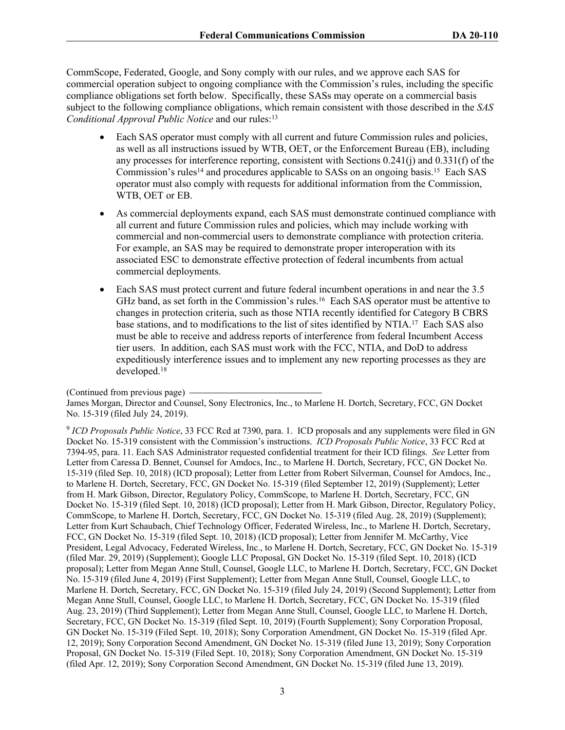CommScope, Federated, Google, and Sony comply with our rules, and we approve each SAS for commercial operation subject to ongoing compliance with the Commission's rules, including the specific compliance obligations set forth below. Specifically, these SASs may operate on a commercial basis subject to the following compliance obligations, which remain consistent with those described in the *SAS Conditional Approval Public Notice* and our rules:<sup>13</sup>

- Each SAS operator must comply with all current and future Commission rules and policies, as well as all instructions issued by WTB, OET, or the Enforcement Bureau (EB), including any processes for interference reporting, consistent with Sections 0.241(j) and 0.331(f) of the Commission's rules<sup>14</sup> and procedures applicable to SASs on an ongoing basis.<sup>15</sup> Each SAS operator must also comply with requests for additional information from the Commission, WTB, OET or EB.
- As commercial deployments expand, each SAS must demonstrate continued compliance with all current and future Commission rules and policies, which may include working with commercial and non-commercial users to demonstrate compliance with protection criteria. For example, an SAS may be required to demonstrate proper interoperation with its associated ESC to demonstrate effective protection of federal incumbents from actual commercial deployments.
- Each SAS must protect current and future federal incumbent operations in and near the 3.5 GHz band, as set forth in the Commission's rules.<sup>16</sup> Each SAS operator must be attentive to changes in protection criteria, such as those NTIA recently identified for Category B CBRS base stations, and to modifications to the list of sites identified by NTIA.<sup>17</sup> Each SAS also must be able to receive and address reports of interference from federal Incumbent Access tier users. In addition, each SAS must work with the FCC, NTIA, and DoD to address expeditiously interference issues and to implement any new reporting processes as they are developed.<sup>18</sup>

<sup>(</sup>Continued from previous page)

James Morgan, Director and Counsel, Sony Electronics, Inc., to Marlene H. Dortch, Secretary, FCC, GN Docket No. 15-319 (filed July 24, 2019).

<sup>9</sup> *ICD Proposals Public Notice*, 33 FCC Rcd at 7390, para. 1. ICD proposals and any supplements were filed in GN Docket No. 15-319 consistent with the Commission's instructions. *ICD Proposals Public Notice*, 33 FCC Rcd at 7394-95, para. 11. Each SAS Administrator requested confidential treatment for their ICD filings. *See* Letter from Letter from Caressa D. Bennet, Counsel for Amdocs, Inc., to Marlene H. Dortch, Secretary, FCC, GN Docket No. 15-319 (filed Sep. 10, 2018) (ICD proposal); Letter from Letter from Robert Silverman, Counsel for Amdocs, Inc., to Marlene H. Dortch, Secretary, FCC, GN Docket No. 15-319 (filed September 12, 2019) (Supplement); Letter from H. Mark Gibson, Director, Regulatory Policy, CommScope, to Marlene H. Dortch, Secretary, FCC, GN Docket No. 15-319 (filed Sept. 10, 2018) (ICD proposal); Letter from H. Mark Gibson, Director, Regulatory Policy, CommScope, to Marlene H. Dortch, Secretary, FCC, GN Docket No. 15-319 (filed Aug. 28, 2019) (Supplement); Letter from Kurt Schaubach, Chief Technology Officer, Federated Wireless, Inc., to Marlene H. Dortch, Secretary, FCC, GN Docket No. 15-319 (filed Sept. 10, 2018) (ICD proposal); Letter from Jennifer M. McCarthy, Vice President, Legal Advocacy, Federated Wireless, Inc., to Marlene H. Dortch, Secretary, FCC, GN Docket No. 15-319 (filed Mar. 29, 2019) (Supplement); Google LLC Proposal, GN Docket No. 15-319 (filed Sept. 10, 2018) (ICD proposal); Letter from Megan Anne Stull, Counsel, Google LLC, to Marlene H. Dortch, Secretary, FCC, GN Docket No. 15-319 (filed June 4, 2019) (First Supplement); Letter from Megan Anne Stull, Counsel, Google LLC, to Marlene H. Dortch, Secretary, FCC, GN Docket No. 15-319 (filed July 24, 2019) (Second Supplement); Letter from Megan Anne Stull, Counsel, Google LLC, to Marlene H. Dortch, Secretary, FCC, GN Docket No. 15-319 (filed Aug. 23, 2019) (Third Supplement); Letter from Megan Anne Stull, Counsel, Google LLC, to Marlene H. Dortch, Secretary, FCC, GN Docket No. 15-319 (filed Sept. 10, 2019) (Fourth Supplement); Sony Corporation Proposal, GN Docket No. 15-319 (Filed Sept. 10, 2018); Sony Corporation Amendment, GN Docket No. 15-319 (filed Apr. 12, 2019); Sony Corporation Second Amendment, GN Docket No. 15-319 (filed June 13, 2019); Sony Corporation Proposal, GN Docket No. 15-319 (Filed Sept. 10, 2018); Sony Corporation Amendment, GN Docket No. 15-319 (filed Apr. 12, 2019); Sony Corporation Second Amendment, GN Docket No. 15-319 (filed June 13, 2019).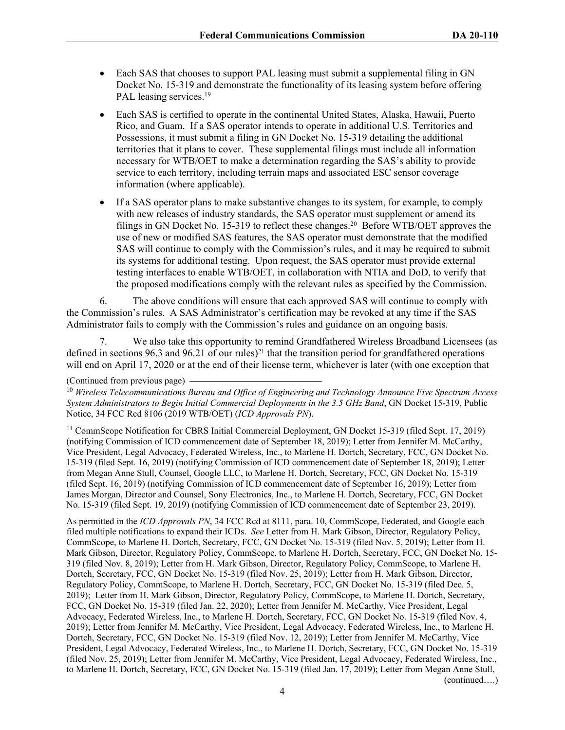- Each SAS that chooses to support PAL leasing must submit a supplemental filing in GN Docket No. 15-319 and demonstrate the functionality of its leasing system before offering PAL leasing services.<sup>19</sup>
- Each SAS is certified to operate in the continental United States, Alaska, Hawaii, Puerto Rico, and Guam. If a SAS operator intends to operate in additional U.S. Territories and Possessions, it must submit a filing in GN Docket No. 15-319 detailing the additional territories that it plans to cover. These supplemental filings must include all information necessary for WTB/OET to make a determination regarding the SAS's ability to provide service to each territory, including terrain maps and associated ESC sensor coverage information (where applicable).
- If a SAS operator plans to make substantive changes to its system, for example, to comply with new releases of industry standards, the SAS operator must supplement or amend its filings in GN Docket No. 15-319 to reflect these changes.<sup>20</sup> Before WTB/OET approves the use of new or modified SAS features, the SAS operator must demonstrate that the modified SAS will continue to comply with the Commission's rules, and it may be required to submit its systems for additional testing. Upon request, the SAS operator must provide external testing interfaces to enable WTB/OET, in collaboration with NTIA and DoD, to verify that the proposed modifications comply with the relevant rules as specified by the Commission.

6. The above conditions will ensure that each approved SAS will continue to comply with the Commission's rules. A SAS Administrator's certification may be revoked at any time if the SAS Administrator fails to comply with the Commission's rules and guidance on an ongoing basis.

7. We also take this opportunity to remind Grandfathered Wireless Broadband Licensees (as defined in sections 96.3 and 96.21 of our rules)<sup>21</sup> that the transition period for grandfathered operations will end on April 17, 2020 or at the end of their license term, whichever is later (with one exception that

#### (Continued from previous page)

<sup>10</sup> *Wireless Telecommunications Bureau and Office of Engineering and Technology Announce Five Spectrum Access System Administrators to Begin Initial Commercial Deployments in the 3.5 GHz Band*, GN Docket 15-319, Public Notice, 34 FCC Rcd 8106 (2019 WTB/OET) (*ICD Approvals PN*).

<sup>11</sup> CommScope Notification for CBRS Initial Commercial Deployment, GN Docket 15-319 (filed Sept. 17, 2019) (notifying Commission of ICD commencement date of September 18, 2019); Letter from Jennifer M. McCarthy, Vice President, Legal Advocacy, Federated Wireless, Inc., to Marlene H. Dortch, Secretary, FCC, GN Docket No. 15-319 (filed Sept. 16, 2019) (notifying Commission of ICD commencement date of September 18, 2019); Letter from Megan Anne Stull, Counsel, Google LLC, to Marlene H. Dortch, Secretary, FCC, GN Docket No. 15-319 (filed Sept. 16, 2019) (notifying Commission of ICD commencement date of September 16, 2019); Letter from James Morgan, Director and Counsel, Sony Electronics, Inc., to Marlene H. Dortch, Secretary, FCC, GN Docket No. 15-319 (filed Sept. 19, 2019) (notifying Commission of ICD commencement date of September 23, 2019).

As permitted in the *ICD Approvals PN*, 34 FCC Rcd at 8111, para. 10, CommScope, Federated, and Google each filed multiple notifications to expand their ICDs. *See* Letter from H. Mark Gibson, Director, Regulatory Policy, CommScope, to Marlene H. Dortch, Secretary, FCC, GN Docket No. 15-319 (filed Nov. 5, 2019); Letter from H. Mark Gibson, Director, Regulatory Policy, CommScope, to Marlene H. Dortch, Secretary, FCC, GN Docket No. 15- 319 (filed Nov. 8, 2019); Letter from H. Mark Gibson, Director, Regulatory Policy, CommScope, to Marlene H. Dortch, Secretary, FCC, GN Docket No. 15-319 (filed Nov. 25, 2019); Letter from H. Mark Gibson, Director, Regulatory Policy, CommScope, to Marlene H. Dortch, Secretary, FCC, GN Docket No. 15-319 (filed Dec. 5, 2019); Letter from H. Mark Gibson, Director, Regulatory Policy, CommScope, to Marlene H. Dortch, Secretary, FCC, GN Docket No. 15-319 (filed Jan. 22, 2020); Letter from Jennifer M. McCarthy, Vice President, Legal Advocacy, Federated Wireless, Inc., to Marlene H. Dortch, Secretary, FCC, GN Docket No. 15-319 (filed Nov. 4, 2019); Letter from Jennifer M. McCarthy, Vice President, Legal Advocacy, Federated Wireless, Inc., to Marlene H. Dortch, Secretary, FCC, GN Docket No. 15-319 (filed Nov. 12, 2019); Letter from Jennifer M. McCarthy, Vice President, Legal Advocacy, Federated Wireless, Inc., to Marlene H. Dortch, Secretary, FCC, GN Docket No. 15-319 (filed Nov. 25, 2019); Letter from Jennifer M. McCarthy, Vice President, Legal Advocacy, Federated Wireless, Inc., to Marlene H. Dortch, Secretary, FCC, GN Docket No. 15-319 (filed Jan. 17, 2019); Letter from Megan Anne Stull, (continued….)

4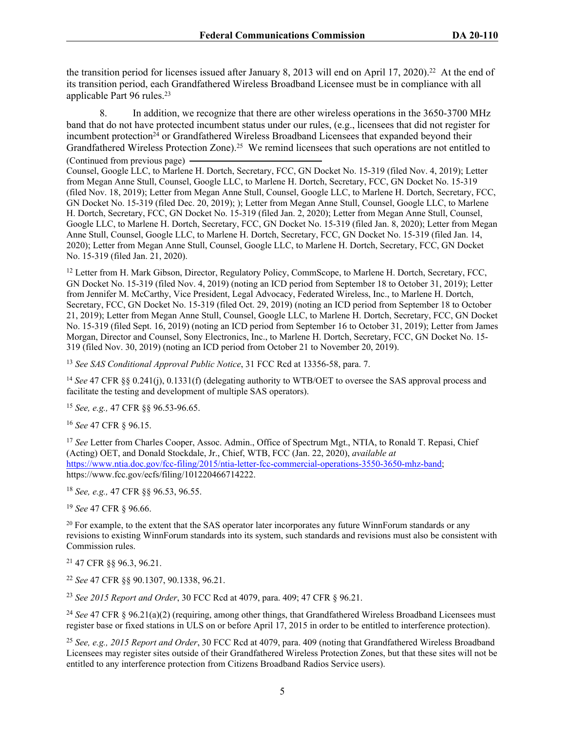the transition period for licenses issued after January 8, 2013 will end on April 17, 2020).<sup>22</sup> At the end of its transition period, each Grandfathered Wireless Broadband Licensee must be in compliance with all applicable Part 96 rules.<sup>23</sup>

8. In addition, we recognize that there are other wireless operations in the 3650-3700 MHz band that do not have protected incumbent status under our rules, (e.g., licensees that did not register for incumbent protection<sup>24</sup> or Grandfathered Wireless Broadband Licensees that expanded beyond their Grandfathered Wireless Protection Zone).<sup>25</sup> We remind licensees that such operations are not entitled to (Continued from previous page)

Counsel, Google LLC, to Marlene H. Dortch, Secretary, FCC, GN Docket No. 15-319 (filed Nov. 4, 2019); Letter from Megan Anne Stull, Counsel, Google LLC, to Marlene H. Dortch, Secretary, FCC, GN Docket No. 15-319 (filed Nov. 18, 2019); Letter from Megan Anne Stull, Counsel, Google LLC, to Marlene H. Dortch, Secretary, FCC, GN Docket No. 15-319 (filed Dec. 20, 2019); ); Letter from Megan Anne Stull, Counsel, Google LLC, to Marlene H. Dortch, Secretary, FCC, GN Docket No. 15-319 (filed Jan. 2, 2020); Letter from Megan Anne Stull, Counsel, Google LLC, to Marlene H. Dortch, Secretary, FCC, GN Docket No. 15-319 (filed Jan. 8, 2020); Letter from Megan Anne Stull, Counsel, Google LLC, to Marlene H. Dortch, Secretary, FCC, GN Docket No. 15-319 (filed Jan. 14, 2020); Letter from Megan Anne Stull, Counsel, Google LLC, to Marlene H. Dortch, Secretary, FCC, GN Docket No. 15-319 (filed Jan. 21, 2020).

<sup>12</sup> Letter from H. Mark Gibson, Director, Regulatory Policy, CommScope, to Marlene H. Dortch, Secretary, FCC, GN Docket No. 15-319 (filed Nov. 4, 2019) (noting an ICD period from September 18 to October 31, 2019); Letter from Jennifer M. McCarthy, Vice President, Legal Advocacy, Federated Wireless, Inc., to Marlene H. Dortch, Secretary, FCC, GN Docket No. 15-319 (filed Oct. 29, 2019) (noting an ICD period from September 18 to October 21, 2019); Letter from Megan Anne Stull, Counsel, Google LLC, to Marlene H. Dortch, Secretary, FCC, GN Docket No. 15-319 (filed Sept. 16, 2019) (noting an ICD period from September 16 to October 31, 2019); Letter from James Morgan, Director and Counsel, Sony Electronics, Inc., to Marlene H. Dortch, Secretary, FCC, GN Docket No. 15- 319 (filed Nov. 30, 2019) (noting an ICD period from October 21 to November 20, 2019).

<sup>13</sup> *See SAS Conditional Approval Public Notice*, 31 FCC Rcd at 13356-58, para. 7.

<sup>14</sup> See 47 CFR §§ 0.241(j), 0.1331(f) (delegating authority to WTB/OET to oversee the SAS approval process and facilitate the testing and development of multiple SAS operators).

<sup>15</sup> *See, e.g.,* 47 CFR §§ 96.53-96.65.

<sup>16</sup> *See* 47 CFR § 96.15.

<sup>17</sup> *See* Letter from Charles Cooper, Assoc. Admin., Office of Spectrum Mgt., NTIA, to Ronald T. Repasi, Chief (Acting) OET, and Donald Stockdale, Jr., Chief, WTB, FCC (Jan. 22, 2020), *available at*  [https://www.ntia.doc.gov/fcc-filing/2015/ntia-letter-fcc-commercial-operations-3550-3650-mhz-band;](https://www.ntia.doc.gov/fcc-filing/2015/ntia-letter-fcc-commercial-operations-3550-3650-mhz-band) https://www.fcc.gov/ecfs/filing/101220466714222.

<sup>18</sup> *See, e.g.,* 47 CFR §§ 96.53, 96.55.

<sup>19</sup> *See* 47 CFR § 96.66.

<sup>20</sup> For example, to the extent that the SAS operator later incorporates any future WinnForum standards or any revisions to existing WinnForum standards into its system, such standards and revisions must also be consistent with Commission rules.

<sup>21</sup> 47 CFR §§ 96.3, 96.21.

<sup>22</sup> *See* 47 CFR §§ 90.1307, 90.1338, 96.21.

<sup>23</sup> *See 2015 Report and Order*, 30 FCC Rcd at 4079, para. 409; 47 CFR § 96.21.

<sup>24</sup> See 47 CFR § 96.21(a)(2) (requiring, among other things, that Grandfathered Wireless Broadband Licensees must register base or fixed stations in ULS on or before April 17, 2015 in order to be entitled to interference protection).

<sup>25</sup> *See, e.g., 2015 Report and Order*, 30 FCC Rcd at 4079, para. 409 (noting that Grandfathered Wireless Broadband Licensees may register sites outside of their Grandfathered Wireless Protection Zones, but that these sites will not be entitled to any interference protection from Citizens Broadband Radios Service users).